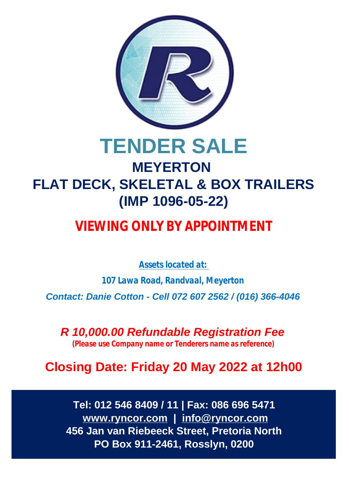

# **TENDER SALE MEYERTON FLAT DECK, SKELETAL & BOX TRAILERS (IMP 1096-05-22)**

## **VIEWING ONLY BY APPOINTMENT**

*Assets located at:*

*107 Lawa Road, Randvaal, Meyerton*

*Contact: Danie Cotton - Cell 072 607 2562 / (016) 366-4046*

*R 10,000.00 Refundable Registration Fee (Please use Company name or Tenderers name as reference)*

**Closing Date: Friday 20 May 2022 at 12h00**

**Tel: 012 546 8409 / 11 | Fax: 086 696 5471  [www.ryncor.com](http://www.ryncor.com) | [info@ryncor.com](mailto:info@ryncor.com) 456 Jan van Riebeeck Street, Pretoria North PO Box 911-2461, Rosslyn, 0200**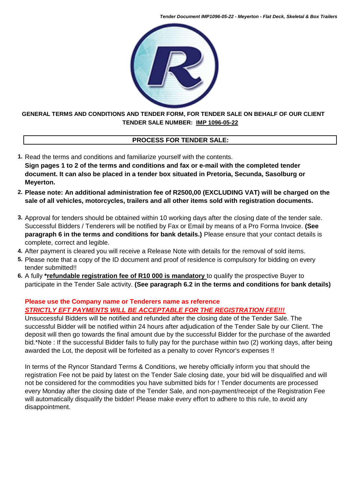*Tender Document IMP1096-05-22 - Meyerton - Flat Deck, Skeletal & Box Trailers*



## **TENDER SALE NUMBER: IMP 1096-05-22 GENERAL TERMS AND CONDITIONS AND TENDER FORM, FOR TENDER SALE ON BEHALF OF OUR CLIENT**

## **PROCESS FOR TENDER SALE:**

- **1.** Read the terms and conditions and familiarize yourself with the contents. **Sign pages 1 to 2 of the terms and conditions and fax or e-mail with the completed tender document. It can also be placed in a tender box situated in Pretoria, Secunda, Sasolburg or Meyerton.**
- **2. Please note: An additional administration fee of R2500,00 (EXCLUDING VAT) will be charged on the sale of all vehicles, motorcycles, trailers and all other items sold with registration documents.**
- **3.** Approval for tenders should be obtained within 10 working days after the closing date of the tender sale. Successful Bidders / Tenderers will be notified by Fax or Email by means of a Pro Forma Invoice. **(See paragraph 6 in the terms and conditions for bank details.)** Please ensure that your contact details is complete, correct and legible.
- **4.** After payment is cleared you will receive a Release Note with details for the removal of sold items.
- **5.** Please note that a copy of the ID document and proof of residence is compulsory for bidding on every tender submitted!!
- **6.** A fully **\*refundable registration fee of R10 000 is mandatory** to qualify the prospective Buyer to participate in the Tender Sale activity. **(See paragraph 6.2 in the terms and conditions for bank details)**

## **Please use the Company name or Tenderers name as reference** *STRICTLY EFT PAYMENTS WILL BE ACCEPTABLE FOR THE REGISTRATION FEE!!!*

Unsuccessful Bidders will be notified and refunded after the closing date of the Tender Sale. The successful Bidder will be notified within 24 hours after adjudication of the Tender Sale by our Client. The deposit will then go towards the final amount due by the successful Bidder for the purchase of the awarded bid.\*Note : If the successful Bidder fails to fully pay for the purchase within two (2) working days, after being awarded the Lot, the deposit will be forfeited as a penalty to cover Ryncor's expenses !!

In terms of the Ryncor Standard Terms & Conditions, we hereby officially inform you that should the registration Fee not be paid by latest on the Tender Sale closing date, your bid will be disqualified and will not be considered for the commodities you have submitted bids for ! Tender documents are processed every Monday after the closing date of the Tender Sale, and non-payment/receipt of the Registration Fee will automatically disqualify the bidder! Please make every effort to adhere to this rule, to avoid any disappointment.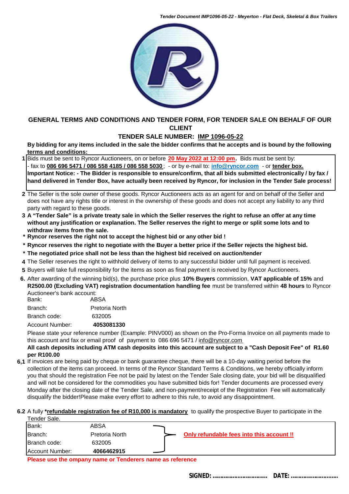*Tender Document IMP1096-05-22 - Meyerton - Flat Deck, Skeletal & Box Trailers*



### **GENERAL TERMS AND CONDITIONS AND TENDER FORM, FOR TENDER SALE ON BEHALF OF OUR CLIENT**

## **TENDER SALE NUMBER: IMP 1096-05-22**

**By bidding for any items included in the sale the bidder confirms that he accepts and is bound by the following terms and conditions:**

- **1** Bids must be sent to Ryncor Auctioneers, on or before **20 May 2022 at 12:00 pm.** Bids must be sent by: - fax to **086 696 5471 / 086 558 4185 / 086 558 5030** ; - or by e-mail to: **[info@ryncor.com](mailto:info@ryncor.com)** - or **tender box. Important Notice: - The Bidder is responsible to ensure/confirm, that all bids submitted electronically / by fax / hand delivered in Tender Box, have actually been received by Ryncor, for inclusion in the Tender Sale process!**
- **2** The Seller is the sole owner of these goods. Ryncor Auctioneers acts as an agent for and on behalf of the Seller and does not have any rights title or interest in the ownership of these goods and does not accept any liability to any third party with regard to these goods.
- **3 A "Tender Sale" is a private treaty sale in which the Seller reserves the right to refuse an offer at any time without any justification or explanation. The Seller reserves the right to merge or split some lots and to withdraw items from the sale.**
- **\* Ryncor reserves the right not to accept the highest bid or any other bid !**
- **\* Ryncor reserves the right to negotiate with the Buyer a better price if the Seller rejects the highest bid.**
- **\* The negotiated price shall not be less than the highest bid received on auction/tender**
- **4** The Seller reserves the right to withhold delivery of items to any successful bidder until full payment is received.
- **5** Buyers will take full responsibility for the items as soon as final payment is received by Ryncor Auctioneers.
- **6.** After awarding of the winning bid(s), the purchase price plus **10% Buyers** commission, **VAT applicable of 15%** and **R2500.00 (Excluding VAT) registration documentation handling fee** must be transferred within **48 hours** to Ryncor Auctioneer's bank account:

| Autholitect o Daliin account.<br>Bank:<br>ABSA |                |  |  |
|------------------------------------------------|----------------|--|--|
| Branch:                                        | Pretoria North |  |  |
| Branch code:                                   | 632005         |  |  |
| Account Number:                                | 4053081330     |  |  |

Please state your reference number (Example: PINV000) as shown on the Pro-Forma Invoice on all payments made to this account and fax or email proof of payment to 086 696 5471 / i[nfo@ryncor.com](mailto:info@ryncor.com)

#### **All cash deposits including ATM cash deposits into this account are subject to a "Cash Deposit Fee" of R1.60 per R100.00**

**6,1** If invoices are being paid by cheque or bank guarantee cheque, there will be a 10-day waiting period before the collection of the items can proceed. In terms of the Ryncor Standard Terms & Conditions, we hereby officially inform you that should the registration Fee not be paid by latest on the Tender Sale closing date, your bid will be disqualified and will not be considered for the commodities you have submitted bids for! Tender documents are processed every Monday after the closing date of the Tender Sale, and non-payment/receipt of the Registration Fee will automatically disqualify the bidder!Please make every effort to adhere to this rule, to avoid any disappointment.

#### **6.2** A fully **\*refundable registration fee of R10,000 is mandatory** to qualify the prospective Buyer to participate in the Tender Sale.

| Account Number: | 4066462915     |                                           |
|-----------------|----------------|-------------------------------------------|
| Branch code:    | 632005         |                                           |
| <b>IBranch:</b> | Pretoria North | Only refundable fees into this account !! |
| Bank:           | ABSA           |                                           |
| . טווטטו שעווט  |                |                                           |

**Please use the ompany name or Tenderers name as reference**

 **SIGNED: ……………..……………... DATE: ………….………...…..**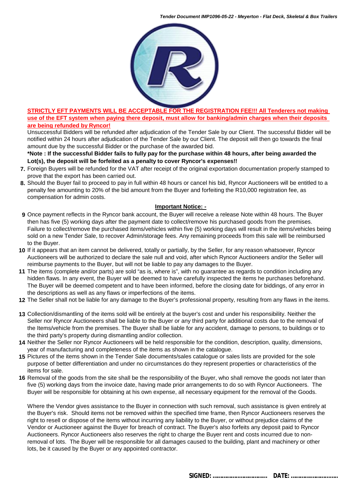

#### **STRICTLY EFT PAYMENTS WILL BE ACCEPTABLE FOR THE REGISTRATION FEE!!! All Tenderers not making use of the EFT system when paying there deposit, must allow for banking/admin charges when their deposits are being refunded by Ryncor!**

Unsuccessful Bidders will be refunded after adjudication of the Tender Sale by our Client. The successful Bidder will be notified within 24 hours after adjudication of the Tender Sale by our Client. The deposit will then go towards the final amount due by the successful Bidder or the purchase of the awarded bid.

**\*Note : If the successful Bidder fails to fully pay for the purchase within 48 hours, after being awarded the Lot(s), the deposit will be forfeited as a penalty to cover Ryncor's expenses!!**

- **7.** Foreign Buyers will be refunded for the VAT after receipt of the original exportation documentation properly stamped to prove that the export has been carried out.
- **8.** Should the Buyer fail to proceed to pay in full within 48 hours or cancel his bid, Ryncor Auctioneers will be entitled to a penalty fee amounting to 20% of the bid amount from the Buyer and forfeiting the R10,000 registration fee, as compensation for admin costs.

#### **Important Notice: -**

- **9** Once payment reflects in the Ryncor bank account, the Buyer will receive a release Note within 48 hours. The Buyer then has five (5) working days after the payment date to collect/remove his purchased goods from the premises. Failure to collect/remove the purchased items/vehicles within five (5) working days will result in the items/vehicles being sold on a new Tender Sale, to recover Admin/storage fees. Any remaining proceeds from this sale will be reimbursed to the Buyer.
- **10** If it appears that an item cannot be delivered, totally or partially, by the Seller, for any reason whatsoever, Ryncor Auctioneers will be authorized to declare the sale null and void, after which Ryncor Auctioneers and/or the Seller will reimburse payments to the Buyer, but will not be liable to pay any damages to the Buyer.
- **11** The items (complete and/or parts) are sold "as is, where is", with no guarantee as regards to condition including any hidden flaws. In any event, the Buyer will be deemed to have carefully inspected the items he purchases beforehand. The Buyer will be deemed competent and to have been informed, before the closing date for biddings, of any error in the descriptions as well as any flaws or imperfections of the items.
- **12** The Seller shall not be liable for any damage to the Buyer's professional property, resulting from any flaws in the items.
- **13** Collection/dismantling of the items sold will be entirely at the buyer's cost and under his responsibility. Neither the Seller nor Ryncor Auctioneers shall be liable to the Buyer or any third party for additional costs due to the removal of the Items/vehicle from the premises. The Buyer shall be liable for any accident, damage to persons, to buildings or to the third party's property during dismantling and/or collection.
- **14** Neither the Seller nor Ryncor Auctioneers will be held responsible for the condition, description, quality, dimensions, year of manufacturing and completeness of the items as shown in the catalogue.
- **15** Pictures of the items shown in the Tender Sale documents/sales catalogue or sales lists are provided for the sole purpose of better differentiation and under no circumstances do they represent properties or characteristics of the items for sale.
- **16** Removal of the goods from the site shall be the responsibility of the Buyer, who shall remove the goods not later than five (5) working days from the invoice date, having made prior arrangements to do so with Ryncor Auctioneers. The Buyer will be responsible for obtaining at his own expense, all necessary equipment for the removal of the Goods.

Where the Vendor gives assistance to the Buyer in connection with such removal, such assistance is given entirely at the Buyer's risk. Should items not be removed within the specified time frame, then Ryncor Auctioneers reserves the right to resell or dispose of the items without incurring any liability to the Buyer, or without prejudice claims of the Vendor or Auctioneer against the Buyer for breach of contract. The Buyer's also forfeits any deposit paid to Ryncor Auctioneers. Ryncor Auctioneers also reserves the right to charge the Buyer rent and costs incurred due to nonremoval of lots. The Buyer will be responsible for all damages caused to the building, plant and machinery or other lots, be it caused by the Buyer or any appointed contractor.

 **SIGNED: ……………..……………... DATE: ………….………...…..**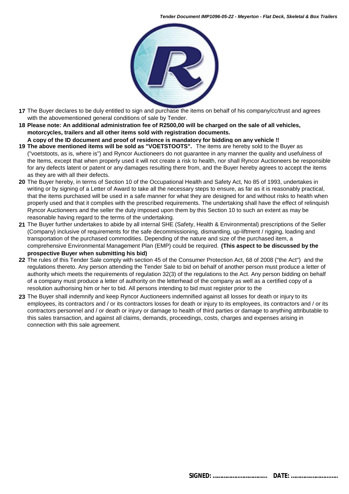

- **17** The Buyer declares to be duly entitled to sign and purchase the items on behalf of his company/cc/trust and agrees with the abovementioned general conditions of sale by Tender.
- **18 Please note: An additional administration fee of R2500,00 will be charged on the sale of all vehicles, motorcycles, trailers and all other items sold with registration documents.**
- **A copy of the ID document and proof of residence is mandatory for bidding on any vehicle !! 19 The above mentioned items will be sold as "VOETSTOOTS".** The items are hereby sold to the Buyer as ("voetstoots, as is, where is") and Ryncor Auctioneers do not guarantee in any manner the quality and usefulness of the Items, except that when properly used it will not create a risk to health, nor shall Ryncor Auctioneers be responsible
- for any defects latent or patent or any damages resulting there from, and the Buyer hereby agrees to accept the items as they are with all their defects.
- **20** The Buyer hereby, in terms of Section 10 of the Occupational Health and Safety Act, No 85 of 1993, undertakes in writing or by signing of a Letter of Award to take all the necessary steps to ensure, as far as it is reasonably practical, that the items purchased will be used in a safe manner for what they are designed for and without risks to health when properly used and that it complies with the prescribed requirements. The undertaking shall have the effect of relinquish Ryncor Auctioneers and the seller the duty imposed upon them by this Section 10 to such an extent as may be reasonable having regard to the terms of the undertaking.
- **21** The Buyer further undertakes to abide by all internal SHE (Safety, Health & Environmental) prescriptions of the Seller (Company) inclusive of requirements for the safe decommissioning, dismantling, up-liftment / rigging, loading and transportation of the purchased commodities. Depending of the nature and size of the purchased item, a comprehensive Environmental Management Plan (EMP) could be required. **(This aspect to be discussed by the prospective Buyer when submitting his bid)**
- **22** The rules of this Tender Sale comply with section 45 of the Consumer Protection Act, 68 of 2008 ("the Act") and the regulations thereto. Any person attending the Tender Sale to bid on behalf of another person must produce a letter of authority which meets the requirements of regulation 32(3) of the regulations to the Act. Any person bidding on behalf of a company must produce a letter of authority on the letterhead of the company as well as a certified copy of a resolution authorising him or her to bid. All persons intending to bid must register prior to the
- **23** The Buyer shall indemnify and keep Ryncor Auctioneers indemnified against all losses for death or injury to its employees, its contractors and / or its contractors losses for death or injury to its employees, its contractors and / or its contractors personnel and / or death or injury or damage to health of third parties or damage to anything attributable to this sales transaction, and against all claims, demands, proceedings, costs, charges and expenses arising in connection with this sale agreement.

 **SIGNED: ……………..……………... DATE: ………….………...…..**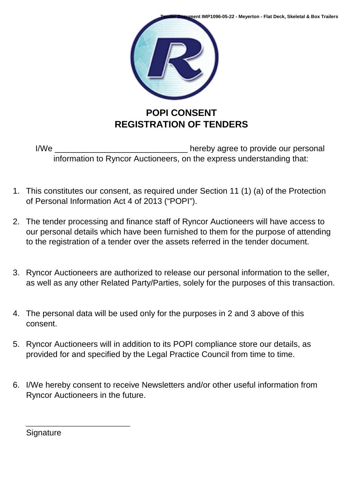

I/We \_\_\_\_\_\_\_\_\_\_\_\_\_\_\_\_\_\_\_\_\_\_\_\_\_\_\_\_\_\_\_\_\_\_\_ hereby agree to provide our personal information to Ryncor Auctioneers, on the express understanding that:

- 1. This constitutes our consent, as required under Section 11 (1) (a) of the Protection of Personal Information Act 4 of 2013 ("POPI").
- 2. The tender processing and finance staff of Ryncor Auctioneers will have access to our personal details which have been furnished to them for the purpose of attending to the registration of a tender over the assets referred in the tender document.
- 3. Ryncor Auctioneers are authorized to release our personal information to the seller, as well as any other Related Party/Parties, solely for the purposes of this transaction.
- 4. The personal data will be used only for the purposes in 2 and 3 above of this consent.
- 5. Ryncor Auctioneers will in addition to its POPI compliance store our details, as provided for and specified by the Legal Practice Council from time to time.
- 6. I/We hereby consent to receive Newsletters and/or other useful information from Ryncor Auctioneers in the future.

**Signature** 

\_\_\_\_\_\_\_\_\_\_\_\_\_\_\_\_\_\_\_\_\_\_\_\_\_\_\_\_\_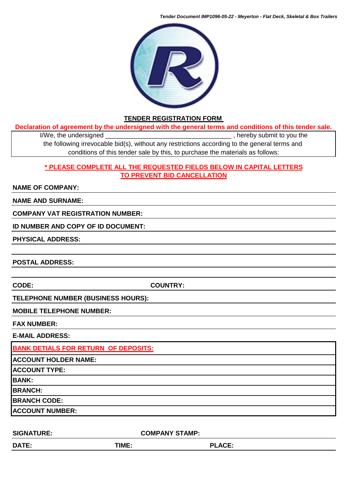*Tender Document IMP1096-05-22 - Meyerton - Flat Deck, Skeletal & Box Trailers*



#### **TENDER REGISTRATION FORM**

**Declaration of agreement by the undersigned with the general terms and conditions of this tender sale.**

I/We, the undersigned \_\_\_\_\_\_\_\_\_\_\_\_\_\_\_\_\_\_\_\_\_\_\_\_\_\_\_\_\_\_\_\_\_\_\_ , hereby submit to you the the following irrevocable bid(s), without any restrictions according to the general terms and conditions of this tender sale by this, to purchase the materials as follows:

## **\* PLEASE COMPLETE ALL THE REQUESTED FIELDS BELOW IN CAPITAL LETTERS TO PREVENT BID CANCELLATION**

#### **NAME OF COMPANY:**

#### **NAME AND SURNAME:**

#### **COMPANY VAT REGISTRATION NUMBER:**

#### **ID NUMBER AND COPY OF ID DOCUMENT:**

#### **PHYSICAL ADDRESS:**

**POSTAL ADDRESS:**

**CODE: COUNTRY:**

#### **TELEPHONE NUMBER (BUSINESS HOURS):**

#### **MOBILE TELEPHONE NUMBER:**

#### **FAX NUMBER:**

**E-MAIL ADDRESS:** 

**BANK DETIALS FOR RETURN OF DEPOSITS: ACCOUNT HOLDER NAME: ACCOUNT TYPE: BANK: BRANCH: BRANCH CODE: ACCOUNT NUMBER:**

| <b>SIGNATURE:</b> | <b>COMPANY STAMP:</b> |               |  |  |
|-------------------|-----------------------|---------------|--|--|
| <b>DATE:</b>      | TIME:                 | <b>PLACE:</b> |  |  |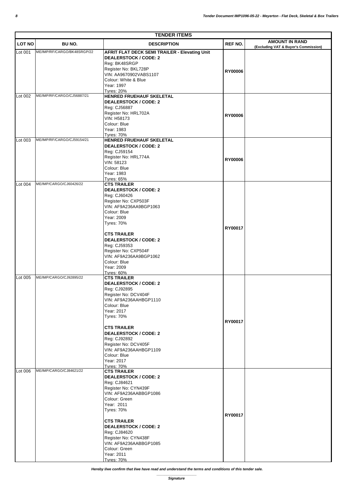| <b>TENDER ITEMS</b> |                             |                                                    |                |                                      |
|---------------------|-----------------------------|----------------------------------------------------|----------------|--------------------------------------|
| <b>LOT NO</b>       | BU NO.                      | <b>DESCRIPTION</b>                                 | REF NO.        | <b>AMOUNT IN RAND</b>                |
| Lot 001             | ME/IMP/RF/CARGO/BK48SRGP/22 | AFRIT FLAT DECK SEMI TRAILER - Elevating Unit      |                | (Excluding VAT & Buyer's Commission) |
|                     |                             | <b>DEALERSTOCK / CODE: 2</b>                       |                |                                      |
|                     |                             | Reg: BK48SRGP                                      |                |                                      |
|                     |                             | Register No: BKL728P                               |                |                                      |
|                     |                             | VIN: AA9670902VABS1107                             | <b>RY00006</b> |                                      |
|                     |                             | Colour: White & Blue                               |                |                                      |
|                     |                             | Year: 1997                                         |                |                                      |
|                     | ME/IMP/RF/CARGO/CJ56887/21  | <b>Tyres: 20%</b>                                  |                |                                      |
| Lot 002             |                             | HENRED FRUEHAUF SKELETAL                           |                |                                      |
|                     |                             | <b>DEALERSTOCK / CODE: 2</b><br>Reg: CJ56887       |                |                                      |
|                     |                             | Register No: HRL702A                               |                |                                      |
|                     |                             | VIN: H58173                                        | <b>RY00006</b> |                                      |
|                     |                             | Colour: Blue                                       |                |                                      |
|                     |                             | Year: 1983                                         |                |                                      |
|                     |                             | <b>Tyres: 70%</b>                                  |                |                                      |
| Lot 003             | ME/IMP/RF/CARGO/CJ59154/21  | HENRED FRUEHAUF SKELETAL                           |                |                                      |
|                     |                             | <b>DEALERSTOCK / CODE: 2</b>                       |                |                                      |
|                     |                             | Reg: CJ59154                                       |                |                                      |
|                     |                             | Register No: HRL774A                               | <b>RY00006</b> |                                      |
|                     |                             | VIN: 58123<br>Colour: Blue                         |                |                                      |
|                     |                             | Year: 1983                                         |                |                                      |
|                     |                             | <b>Tyres: 65%</b>                                  |                |                                      |
| Lot 004             | ME/IMP/CARGO/CJ60426/22     | <b>CTS TRAILER</b>                                 |                |                                      |
|                     |                             | <b>DEALERSTOCK / CODE: 2</b>                       |                |                                      |
|                     |                             | Reg: CJ60426                                       |                |                                      |
|                     |                             | Register No: CXP503F                               |                |                                      |
|                     |                             | VIN: AF9A236AA9BGP1063                             |                |                                      |
|                     |                             | Colour: Blue                                       |                |                                      |
|                     |                             | Year: 2009                                         |                |                                      |
|                     |                             | <b>Tyres: 70%</b>                                  |                |                                      |
|                     |                             |                                                    | RY00017        |                                      |
|                     |                             | <b>CTS TRAILER</b><br><b>DEALERSTOCK / CODE: 2</b> |                |                                      |
|                     |                             | Reg: CJ59353                                       |                |                                      |
|                     |                             | Register No: CXP504F                               |                |                                      |
|                     |                             | VIN: AF9A236AA9BGP1062                             |                |                                      |
|                     |                             | Colour: Blue                                       |                |                                      |
|                     |                             | Year: 2009                                         |                |                                      |
|                     |                             | <b>Tyres: 60%</b>                                  |                |                                      |
| Lot 005             | ME/IMP/CARGO/CJ92895/22     | <b>CTS TRAILER</b>                                 |                |                                      |
|                     |                             | <b>DEALERSTOCK / CODE: 2</b>                       |                |                                      |
|                     |                             | Reg: CJ92895                                       |                |                                      |
|                     |                             | Register No: DCV404F<br>VIN: AF9A236AAHBGP1110     |                |                                      |
|                     |                             | Colour: Blue                                       |                |                                      |
|                     |                             | Year: 2017                                         |                |                                      |
|                     |                             | <b>Tyres: 70%</b>                                  |                |                                      |
|                     |                             |                                                    | RY00017        |                                      |
|                     |                             | <b>CTS TRAILER</b>                                 |                |                                      |
|                     |                             | <b>DEALERSTOCK / CODE: 2</b>                       |                |                                      |
|                     |                             | Reg: CJ92892                                       |                |                                      |
|                     |                             | Register No: DCV405F                               |                |                                      |
|                     |                             | VIN: AF9A236AAHBGP1109                             |                |                                      |
|                     |                             | Colour: Blue                                       |                |                                      |
|                     |                             | Year: 2017                                         |                |                                      |
| Lot 006             | ME/IMP/CARGO/CJ84621/22     | <b>Tyres: 70%</b><br><b>CTS TRAILER</b>            |                |                                      |
|                     |                             | <b>DEALERSTOCK / CODE: 2</b>                       |                |                                      |
|                     |                             | Reg: CJ84621                                       |                |                                      |
|                     |                             | Register No: CYN439F                               |                |                                      |
|                     |                             | VIN: AF9A236AABBGP1086                             |                |                                      |
|                     |                             | Colour: Green                                      |                |                                      |
|                     |                             | Year: 2011                                         |                |                                      |
|                     |                             | <b>Tyres: 70%</b>                                  |                |                                      |
|                     |                             |                                                    | RY00017        |                                      |
|                     |                             | <b>CTS TRAILER</b>                                 |                |                                      |
|                     |                             | <b>DEALERSTOCK / CODE: 2</b><br>Reg: CJ84620       |                |                                      |
|                     |                             | Register No: CYN438F                               |                |                                      |
|                     |                             | VIN: AF9A236AABBGP1085                             |                |                                      |
|                     |                             | Colour: Green                                      |                |                                      |
|                     |                             | Year: 2011                                         |                |                                      |
|                     |                             | <b>Tyres: 70%</b>                                  |                |                                      |

*Hereby I/we confirm that I/we have read and understand the terms and conditions of this tender sale.*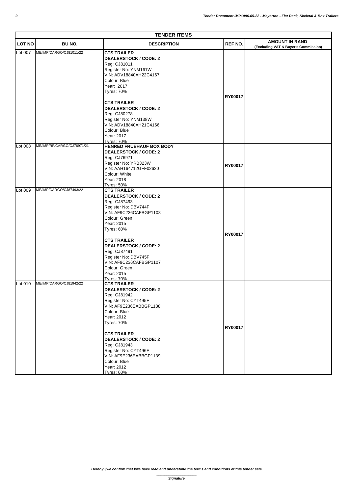| <b>TENDER ITEMS</b> |                            |                                                                                                                                                                                                                                                                                                  |                |                                                               |  |
|---------------------|----------------------------|--------------------------------------------------------------------------------------------------------------------------------------------------------------------------------------------------------------------------------------------------------------------------------------------------|----------------|---------------------------------------------------------------|--|
| <b>LOT NO</b>       | BU NO.                     | <b>DESCRIPTION</b>                                                                                                                                                                                                                                                                               | <b>REF NO.</b> | <b>AMOUNT IN RAND</b><br>(Excluding VAT & Buyer's Commission) |  |
| Lot 007             | ME/IMP/CARGO/CJ81011/22    | <b>CTS TRAILER</b><br><b>DEALERSTOCK / CODE: 2</b><br>Reg: CJ81011<br>Register No: YNM161W<br>VIN: ADV18840AH22C4167<br>Colour: Blue<br>Year: 2017<br><b>Tyres: 70%</b><br><b>CTS TRAILER</b>                                                                                                    | RY00017        |                                                               |  |
|                     |                            | <b>DEALERSTOCK / CODE: 2</b><br>Reg: CJ80278<br>Register No: YNM138W<br>VIN: ADV18840AH21C4166<br>Colour: Blue<br>Year: 2017<br><b>Tyres: 70%</b>                                                                                                                                                |                |                                                               |  |
| Lot 008             | ME/IMP/RF/CARGO/CJ76971/21 | <b>HENRED FRUEHAUF BOX BODY</b><br><b>DEALERSTOCK / CODE: 2</b><br>Reg: CJ76971<br>Register No: YRB323W<br>VIN: AAH164712GFF02620<br>Colour: White<br>Year: 2018<br><b>Tyres: 50%</b>                                                                                                            | RY00017        |                                                               |  |
| Lot 009             | ME/IMP/CARGO/CJ87493/22    | <b>CTS TRAILER</b><br><b>DEALERSTOCK / CODE: 2</b><br>Reg: CJ87493<br>Register No: DBV744F<br>VIN: AF9C236CAFBGP1108<br>Colour: Green<br>Year: 2015<br><b>Tyres: 60%</b><br><b>CTS TRAILER</b><br><b>DEALERSTOCK / CODE: 2</b><br>Reg: CJ87491<br>Register No: DBV745F<br>VIN: AF9C236CAFBGP1107 | RY00017        |                                                               |  |
| Lot 010             | ME/IMP/CARGO/CJ81942/22    | Colour: Green<br>Year: 2015<br><b>Tyres: 70%</b><br><b>CTS TRAILER</b><br><b>DEALERSTOCK / CODE: 2</b><br>Reg: CJ81942<br>Register No: CYT495F<br>VIN: AF9E236EABBGP1138<br>Colour: Blue<br>Year: 2012<br><b>Tyres: 70%</b>                                                                      | RY00017        |                                                               |  |
|                     |                            | <b>CTS TRAILER</b><br><b>DEALERSTOCK / CODE: 2</b><br>Reg: CJ81943<br>Register No: CYT496F<br>VIN: AF9E236EABBGP1139<br>Colour: Blue<br>Year: 2012<br><b>Tyres: 60%</b>                                                                                                                          |                |                                                               |  |